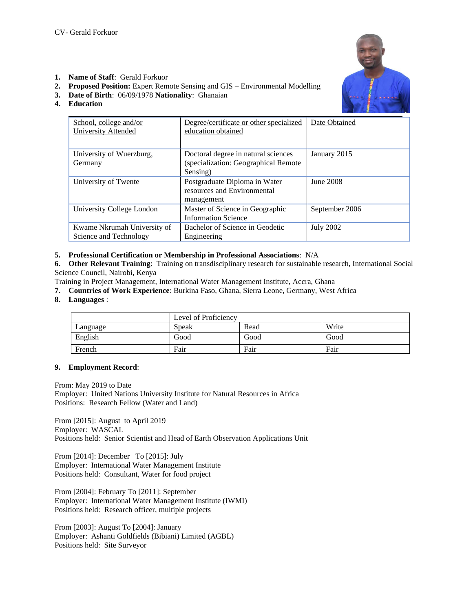

- **1. Name of Staff**: Gerald Forkuor
- **2. Proposed Position:** Expert Remote Sensing and GIS Environmental Modelling
- **3. Date of Birth**: 06/09/1978 **Nationality**: Ghanaian
- **4. Education**

| School, college and/or<br><b>University Attended</b>  | Degree/certificate or other specialized<br>education obtained                            | Date Obtained    |  |
|-------------------------------------------------------|------------------------------------------------------------------------------------------|------------------|--|
| University of Wuerzburg,<br>Germany                   | Doctoral degree in natural sciences<br>(specialization: Geographical Remote)<br>Sensing) | January 2015     |  |
| University of Twente                                  | Postgraduate Diploma in Water<br>resources and Environmental<br>management               | June 2008        |  |
| University College London                             | Master of Science in Geographic<br><b>Information Science</b>                            | September 2006   |  |
| Kwame Nkrumah University of<br>Science and Technology | Bachelor of Science in Geodetic<br>Engineering                                           | <b>July 2002</b> |  |

# **5. Professional Certification or Membership in Professional Associations**: N/A

**6. Other Relevant Training**: Training on transdisciplinary research for sustainable research, International Social Science Council, Nairobi, Kenya

Training in Project Management, International Water Management Institute, Accra, Ghana

**7. Countries of Work Experience**: Burkina Faso, Ghana, Sierra Leone, Germany, West Africa

#### **8. Languages** :

|          | Level of Proficiency |      |       |
|----------|----------------------|------|-------|
| Language | Speak                | Read | Write |
| English  | Good                 | Good | Good  |
| French   | Fair                 | Fair | Fair  |

# **9. Employment Record**:

From: May 2019 to Date Employer: United Nations University Institute for Natural Resources in Africa Positions: Research Fellow (Water and Land)

From [2015]: August to April 2019 Employer: WASCAL Positions held: Senior Scientist and Head of Earth Observation Applications Unit

From [2014]: December To [2015]: July Employer: International Water Management Institute Positions held: Consultant, Water for food project

From [2004]: February To [2011]: September Employer: International Water Management Institute (IWMI) Positions held: Research officer, multiple projects

From [2003]: August To [2004]: January Employer: Ashanti Goldfields (Bibiani) Limited (AGBL) Positions held: Site Surveyor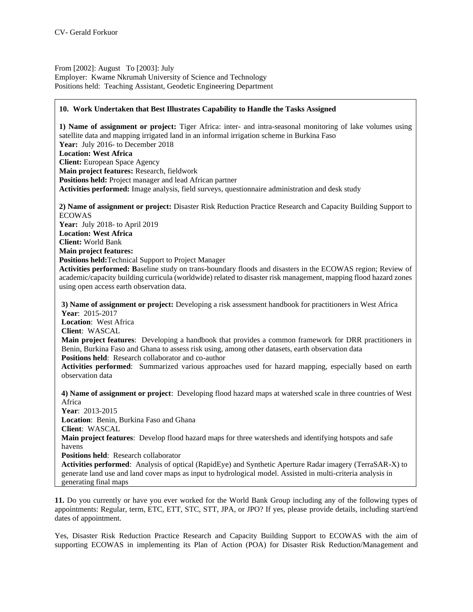From [2002]: August To [2003]: July Employer: Kwame Nkrumah University of Science and Technology Positions held: Teaching Assistant, Geodetic Engineering Department

### **10. Work Undertaken that Best Illustrates Capability to Handle the Tasks Assigned**

**1) Name of assignment or project:** Tiger Africa: inter- and intra-seasonal monitoring of lake volumes using satellite data and mapping irrigated land in an informal irrigation scheme in Burkina Faso **Year:** July 2016- to December 2018 **Location: West Africa Client:** European Space Agency **Main project features:** Research, fieldwork **Positions held:** Project manager and lead African partner **Activities performed:** Image analysis, field surveys, questionnaire administration and desk study **2) Name of assignment or project:** Disaster Risk Reduction Practice Research and Capacity Building Support to ECOWAS **Year:** July 2018- to April 2019 **Location: West Africa Client:** World Bank **Main project features: Positions held:**Technical Support to Project Manager **Activities performed: B**aseline study on trans-boundary floods and disasters in the ECOWAS region; Review of academic/capacity building curricula (worldwide) related to disaster risk management, mapping flood hazard zones using open access earth observation data. **3) Name of assignment or project:** Developing a risk assessment handbook for practitioners in West Africa **Year**: 2015-2017 **Location**: West Africa **Client**: WASCAL **Main project features**: Developing a handbook that provides a common framework for DRR practitioners in Benin, Burkina Faso and Ghana to assess risk using, among other datasets, earth observation data **Positions held**: Research collaborator and co-author **Activities performed**: Summarized various approaches used for hazard mapping, especially based on earth observation data **4) Name of assignment or project**: Developing flood hazard maps at watershed scale in three countries of West Africa **Year**: 2013-2015 **Location**: Benin, Burkina Faso and Ghana **Client**: WASCAL **Main project features**: Develop flood hazard maps for three watersheds and identifying hotspots and safe havens **Positions held**: Research collaborator **Activities performed**: Analysis of optical (RapidEye) and Synthetic Aperture Radar imagery (TerraSAR-X) to generate land use and land cover maps as input to hydrological model. Assisted in multi-criteria analysis in generating final maps

**11.** Do you currently or have you ever worked for the World Bank Group including any of the following types of appointments: Regular, term, ETC, ETT, STC, STT, JPA, or JPO? If yes, please provide details, including start/end dates of appointment.

Yes, Disaster Risk Reduction Practice Research and Capacity Building Support to ECOWAS with the aim of supporting ECOWAS in implementing its Plan of Action (POA) for Disaster Risk Reduction/Management and